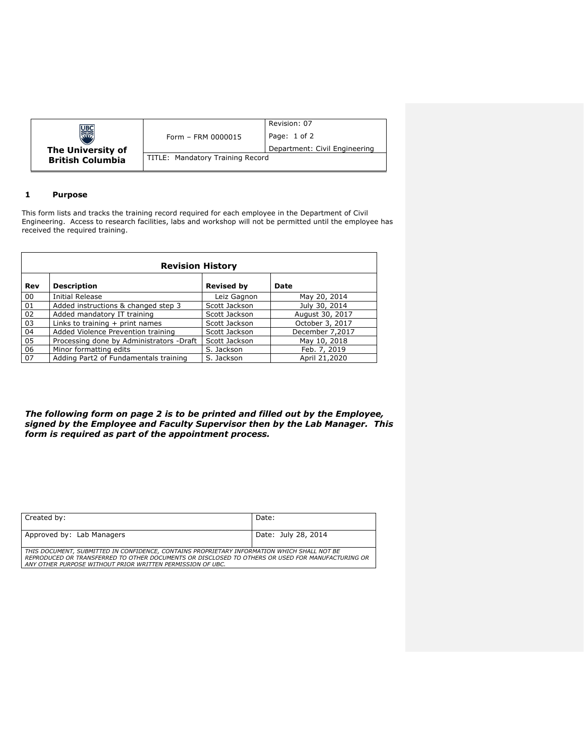|                         | Form - FRM 0000015               | Revision: 07<br>Page: 1 of 2  |  |
|-------------------------|----------------------------------|-------------------------------|--|
| The University of       |                                  | Department: Civil Engineering |  |
| <b>British Columbia</b> | TITLE: Mandatory Training Record |                               |  |

# **1 Purpose**

This form lists and tracks the training record required for each employee in the Department of Civil Engineering. Access to research facilities, labs and workshop will not be permitted until the employee has received the required training.

| <b>Revision History</b> |                                          |                   |                 |
|-------------------------|------------------------------------------|-------------------|-----------------|
| Rev                     | <b>Description</b>                       | <b>Revised by</b> | Date            |
| 00                      | <b>Initial Release</b>                   | Leiz Gagnon       | May 20, 2014    |
| 01                      | Added instructions & changed step 3      | Scott Jackson     | July 30, 2014   |
| 02                      | Added mandatory IT training              | Scott Jackson     | August 30, 2017 |
| 03                      | Links to training $+$ print names        | Scott Jackson     | October 3, 2017 |
| 04                      | Added Violence Prevention training       | Scott Jackson     | December 7,2017 |
| 05                      | Processing done by Administrators -Draft | Scott Jackson     | May 10, 2018    |
| 06                      | Minor formatting edits                   | S. Jackson        | Feb. 7, 2019    |
| 07                      | Adding Part2 of Fundamentals training    | S. Jackson        | April 21,2020   |

*The following form on page 2 is to be printed and filled out by the Employee, signed by the Employee and Faculty Supervisor then by the Lab Manager. This form is required as part of the appointment process.*

| Created by:                                                                                                                                                                                                                                                   | Date:               |  |
|---------------------------------------------------------------------------------------------------------------------------------------------------------------------------------------------------------------------------------------------------------------|---------------------|--|
| Approved by: Lab Managers                                                                                                                                                                                                                                     | Date: July 28, 2014 |  |
| THIS DOCUMENT, SUBMITTED IN CONFIDENCE, CONTAINS PROPRIETARY INFORMATION WHICH SHALL NOT BE<br>REPRODUCED OR TRANSFERRED TO OTHER DOCUMENTS OR DISCLOSED TO OTHERS OR USED FOR MANUFACTURING OR<br>ANY OTHER PURPOSE WITHOUT PRIOR WRITTEN PERMISSION OF UBC. |                     |  |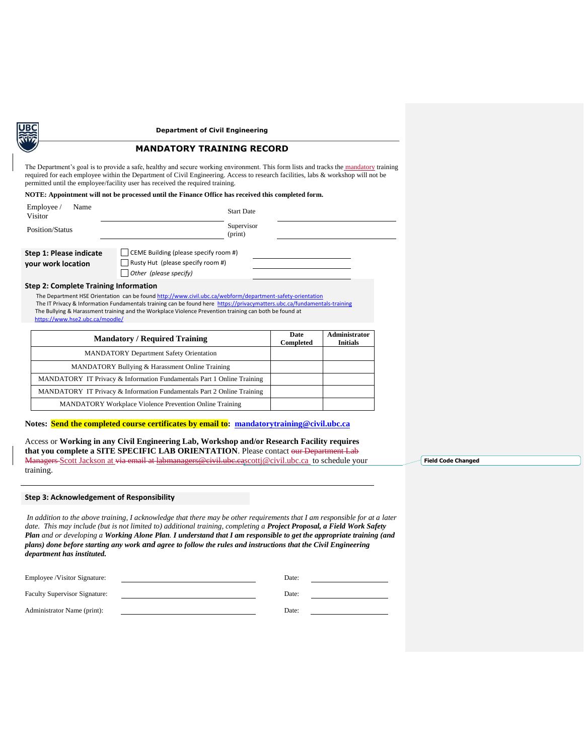### **Department of Civil Engineering**

# **MANDATORY TRAINING RECORD**

The Department's goal is to provide a safe, healthy and secure working environment. This form lists and tracks the mandatory training required for each employee within the Department of Civil Engineering. Access to research facilities, labs & workshop will not be permitted until the employee/facility user has received the required training.

### **NOTE: Appointment will not be processed until the Finance Office has received this completed form.**

| Employee /<br>Name<br>Visitor                 | <b>Start Date</b>                                                                                                  |  |
|-----------------------------------------------|--------------------------------------------------------------------------------------------------------------------|--|
| Position/Status                               | Supervisor<br>(print)                                                                                              |  |
| Step 1: Please indicate<br>your work location | CEME Building (please specify room #)<br>$\Box$ Rusty Hut (please specify room #)<br>$\Box$ Other (please specify) |  |
| Sten 2: Complete Training Information         |                                                                                                                    |  |

### **Step 2: Complete Training Information**

The Department HSE Orientation can be foun[d http://www.civil.ubc.ca/webform/department-safety-orientation](http://www.civil.ubc.ca/webform/department-safety-orientation) The IT Privacy & Information Fundamentals training can be found here<https://privacymatters.ubc.ca/fundamentals-training> The Bullying & Harassment training and the Workplace Violence Prevention training can both be found at <https://www.hse2.ubc.ca/moodle/>

| <b>Mandatory / Required Training</b>                                   | Date<br>Completed | Administrator<br><b>Initials</b> |
|------------------------------------------------------------------------|-------------------|----------------------------------|
| <b>MANDATORY Department Safety Orientation</b>                         |                   |                                  |
| MANDATORY Bullying & Harassment Online Training                        |                   |                                  |
| MANDATORY IT Privacy & Information Fundamentals Part 1 Online Training |                   |                                  |
| MANDATORY IT Privacy & Information Fundamentals Part 2 Online Training |                   |                                  |
| <b>MANDATORY Workplace Violence Prevention Online Training</b>         |                   |                                  |

## **Notes: Send the completed course certificates by email to: [mandatorytraining@civil.ubc.ca](mailto:mandatorytraining@civil.ubc.ca)**

Access or **Working in any Civil Engineering Lab, Workshop and/or Research Facility requires that you complete a SITE SPECIFIC LAB ORIENTATION**. Please contact our Department Lab Managers-Scott Jackson at via email at labmanagers@civil.ube.c[ascottj@civil.ubc.ca](mailto:scottj@civil.ubc.ca) to schedule your training.

### **Step 3: Acknowledgement of Responsibility**

*In addition to the above training, I acknowledge that there may be other requirements that I am responsible for at a later date. This may include (but is not limited to) additional training, completing a Project Proposal, a Field Work Safety Plan and or developing a Working Alone Plan. I understand that I am responsible to get the appropriate training (and plans) done before starting any work and agree to follow the rules and instructions that the Civil Engineering department has instituted.*

| Employee /Visitor Signature:         | Date: |  |
|--------------------------------------|-------|--|
| <b>Faculty Supervisor Signature:</b> | Date: |  |
| Administrator Name (print):          | Date: |  |

**Field Code Changed**